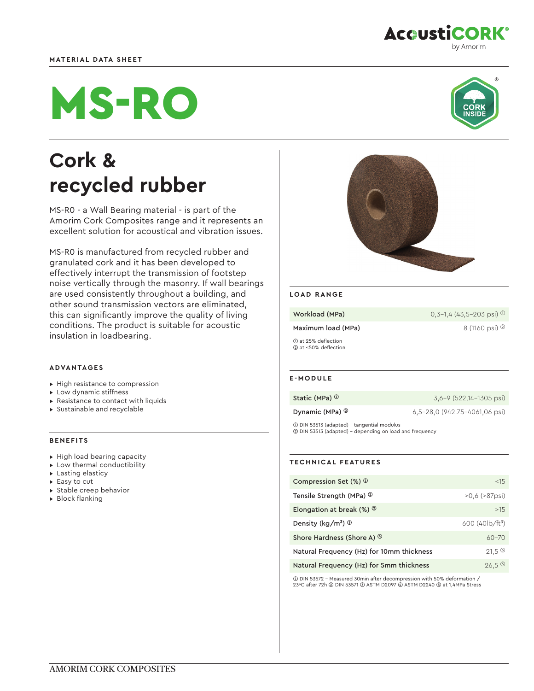# **MATERIAL DATA SHEET**

# MS-RO

# **Cork & recycled rubber**

MS-R0 - a Wall Bearing material - is part of the Amorim Cork Composites range and it represents an excellent solution for acoustical and vibration issues.

MS-R0 is manufactured from recycled rubber and granulated cork and it has been developed to effectively interrupt the transmission of footstep noise vertically through the masonry. If wall bearings are used consistently throughout a building, and other sound transmission vectors are eliminated, this can significantly improve the quality of living conditions. The product is suitable for acoustic insulation in loadbearing.

# **ADVANTAGES**

- ▸ High resistance to compression
- ▸ Low dynamic stiffness
- ▸ Resistance to contact with liquids
- ▸ Sustainable and recyclable

# **BENEFITS**

- ▸ High load bearing capacity
- ▸ Low thermal conductibility
- ▸ Lasting elasticy
- ▸ Easy to cut
- ▸ Stable creep behavior
- ▸ Block flanking



# **LOAD RANGE**

**Workload (MPa)**  $0,3-1,4$  (43,5-203 psi)  $\circledcirc$ 

Maximum load (MPa)  $8(1160 \text{ psi})$ <sup>(2)</sup>

➀ at 25% deflection ➁ at <50% deflection

# **E-MODULE**

|  | Static (MPa) <sup>1</sup> |
|--|---------------------------|
|--|---------------------------|

**Dynamic (MPa) ©** 6,5-28,0 (942,75-4061,06 psi)

3,6-9 (522,14-1305 psi)

➀ DIN 53513 (adapted) - tangential modulus ➁ DIN 53513 (adapted) - depending on load and frequency

# **TECHNICAL FEATURES**

| Compression Set $(\%)$ <sup>①</sup>         | < 1.5                 |
|---------------------------------------------|-----------------------|
| Tensile Strength (MPa) <sup>@</sup>         | $>0.6$ ( $>87$ psi)   |
| Elongation at break $(\%)$ $\circ$          | >15                   |
| Density (kg/m <sup>3</sup> ) $\circledcirc$ | 600 $(40 b / ft^3)$   |
| Shore Hardness (Shore A) $\circledcirc$     | $60 - 70$             |
| Natural Frequency (Hz) for 10mm thickness   | $21.5$ ©              |
| Natural Frequency (Hz) for 5mm thickness    | $26,5$ <sup>(5)</sup> |

➀ DIN 53572 - Measured 30min after decompression with 50% deformation / 23ºC after 72h ➁ DIN 53571 ➂ ASTM D2097 ➃ ASTM D2240 ➄ at 1,4MPa Stress

# **AcoustiCORK®** by Amorim